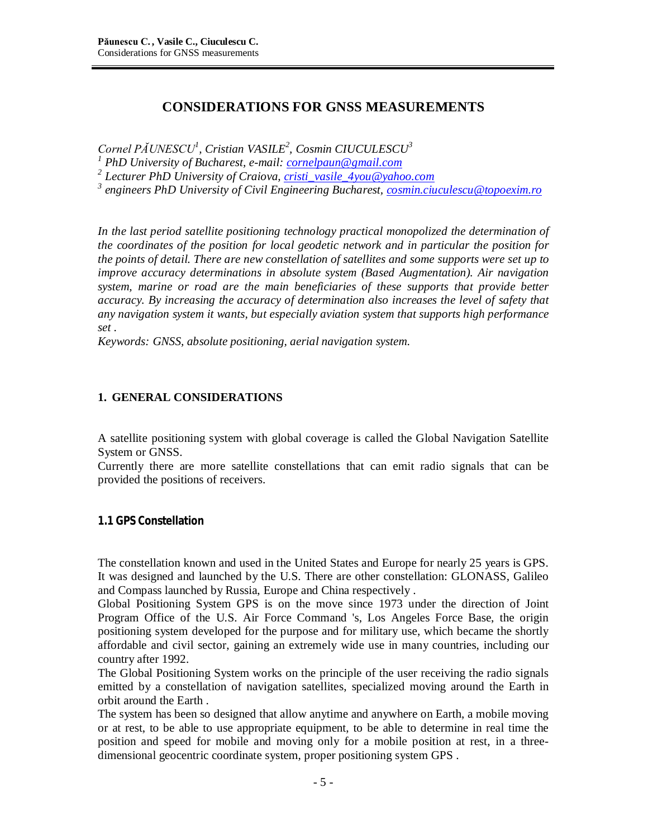# **CONSIDERATIONS FOR GNSS MEASUREMENTS**

*Cornel PĂUNESCU<sup>1</sup> , Cristian VASILE<sup>2</sup> , Cosmin CIUCULESCU<sup>3</sup>*

*<sup>1</sup> PhD University of Bucharest, e-mail: [cornelpaun@gmail.com](mailto:cornelpaun@gmail.com)*

*2 Lecturer PhD University of Craiova, [cristi\\_vasile\\_4you@yahoo.com](mailto:cristi_vasile_4you@yahoo.com)*

*3 engineers PhD University of Civil Engineering Bucharest, [cosmin.ciuculescu@topoexim.ro](mailto:cosmin.ciuculescu@topoexim.ro)*

*In the last period satellite positioning technology practical monopolized the determination of the coordinates of the position for local geodetic network and in particular the position for the points of detail. There are new constellation of satellites and some supports were set up to improve accuracy determinations in absolute system (Based Augmentation). Air navigation system, marine or road are the main beneficiaries of these supports that provide better accuracy. By increasing the accuracy of determination also increases the level of safety that any navigation system it wants, but especially aviation system that supports high performance set .*

*Keywords: GNSS, absolute positioning, aerial navigation system.*

### **1. GENERAL CONSIDERATIONS**

A satellite positioning system with global coverage is called the Global Navigation Satellite System or GNSS.

Currently there are more satellite constellations that can emit radio signals that can be provided the positions of receivers.

## **1.1 GPS Constellation**

The constellation known and used in the United States and Europe for nearly 25 years is GPS. It was designed and launched by the U.S. There are other constellation: GLONASS, Galileo and Compass launched by Russia, Europe and China respectively .

Global Positioning System GPS is on the move since 1973 under the direction of Joint Program Office of the U.S. Air Force Command 's, Los Angeles Force Base, the origin positioning system developed for the purpose and for military use, which became the shortly affordable and civil sector, gaining an extremely wide use in many countries, including our country after 1992.

The Global Positioning System works on the principle of the user receiving the radio signals emitted by a constellation of navigation satellites, specialized moving around the Earth in orbit around the Earth .

The system has been so designed that allow anytime and anywhere on Earth, a mobile moving or at rest, to be able to use appropriate equipment, to be able to determine in real time the position and speed for mobile and moving only for a mobile position at rest, in a threedimensional geocentric coordinate system, proper positioning system GPS .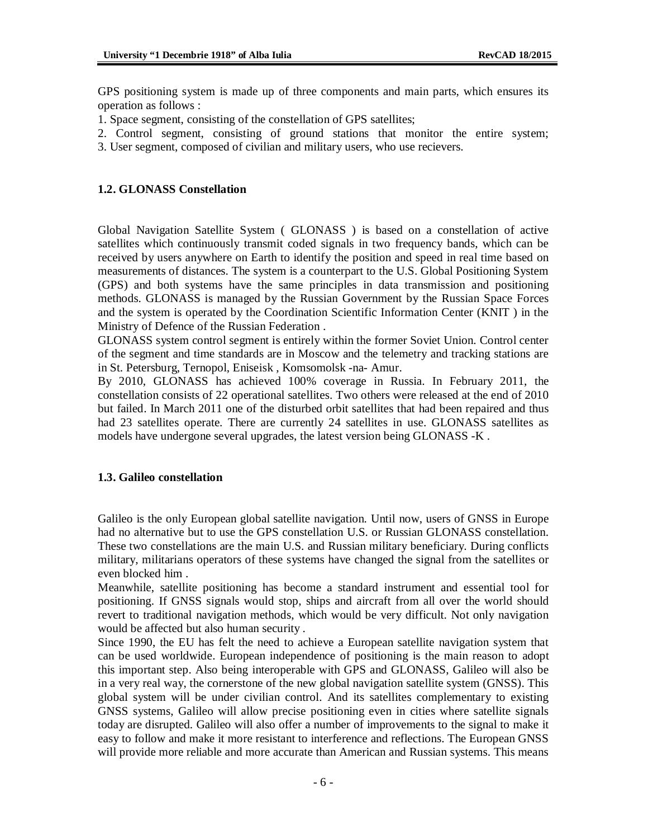GPS positioning system is made up of three components and main parts, which ensures its operation as follows :

- 1. Space segment, consisting of the constellation of GPS satellites;
- 2. Control segment, consisting of ground stations that monitor the entire system;
- 3. User segment, composed of civilian and military users, who use recievers.

#### **1.2. GLONASS Constellation**

Global Navigation Satellite System ( GLONASS ) is based on a constellation of active satellites which continuously transmit coded signals in two frequency bands, which can be received by users anywhere on Earth to identify the position and speed in real time based on measurements of distances. The system is a counterpart to the U.S. Global Positioning System (GPS) and both systems have the same principles in data transmission and positioning methods. GLONASS is managed by the Russian Government by the Russian Space Forces and the system is operated by the Coordination Scientific Information Center (KNIT ) in the Ministry of Defence of the Russian Federation .

GLONASS system control segment is entirely within the former Soviet Union. Control center of the segment and time standards are in Moscow and the telemetry and tracking stations are in St. Petersburg, Ternopol, Eniseisk , Komsomolsk -na- Amur.

By 2010, GLONASS has achieved 100% coverage in Russia. In February 2011, the constellation consists of 22 operational satellites. Two others were released at the end of 2010 but failed. In March 2011 one of the disturbed orbit satellites that had been repaired and thus had 23 satellites operate. There are currently 24 satellites in use. GLONASS satellites as models have undergone several upgrades, the latest version being GLONASS -K .

#### **1.3. Galileo constellation**

Galileo is the only European global satellite navigation. Until now, users of GNSS in Europe had no alternative but to use the GPS constellation U.S. or Russian GLONASS constellation. These two constellations are the main U.S. and Russian military beneficiary. During conflicts military, militarians operators of these systems have changed the signal from the satellites or even blocked him .

Meanwhile, satellite positioning has become a standard instrument and essential tool for positioning. If GNSS signals would stop, ships and aircraft from all over the world should revert to traditional navigation methods, which would be very difficult. Not only navigation would be affected but also human security .

Since 1990, the EU has felt the need to achieve a European satellite navigation system that can be used worldwide. European independence of positioning is the main reason to adopt this important step. Also being interoperable with GPS and GLONASS, Galileo will also be in a very real way, the cornerstone of the new global navigation satellite system (GNSS). This global system will be under civilian control. And its satellites complementary to existing GNSS systems, Galileo will allow precise positioning even in cities where satellite signals today are disrupted. Galileo will also offer a number of improvements to the signal to make it easy to follow and make it more resistant to interference and reflections. The European GNSS will provide more reliable and more accurate than American and Russian systems. This means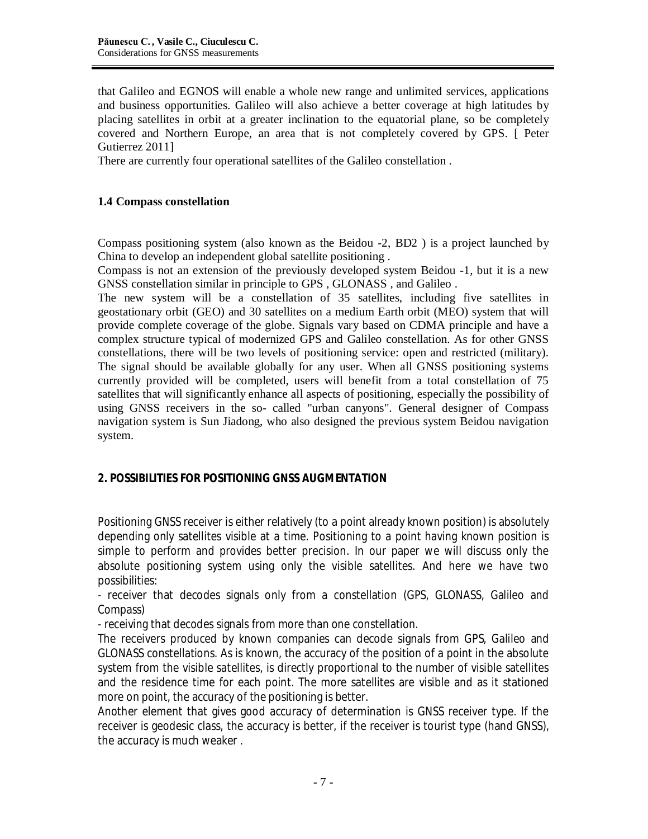that Galileo and EGNOS will enable a whole new range and unlimited services, applications and business opportunities. Galileo will also achieve a better coverage at high latitudes by placing satellites in orbit at a greater inclination to the equatorial plane, so be completely covered and Northern Europe, an area that is not completely covered by GPS. [ Peter Gutierrez 2011]

There are currently four operational satellites of the Galileo constellation .

## **1.4 Compass constellation**

Compass positioning system (also known as the Beidou -2, BD2 ) is a project launched by China to develop an independent global satellite positioning .

Compass is not an extension of the previously developed system Beidou -1, but it is a new GNSS constellation similar in principle to GPS , GLONASS , and Galileo .

The new system will be a constellation of 35 satellites, including five satellites in geostationary orbit (GEO) and 30 satellites on a medium Earth orbit (MEO) system that will provide complete coverage of the globe. Signals vary based on CDMA principle and have a complex structure typical of modernized GPS and Galileo constellation. As for other GNSS constellations, there will be two levels of positioning service: open and restricted (military). The signal should be available globally for any user. When all GNSS positioning systems currently provided will be completed, users will benefit from a total constellation of 75 satellites that will significantly enhance all aspects of positioning, especially the possibility of using GNSS receivers in the so- called "urban canyons". General designer of Compass navigation system is Sun Jiadong, who also designed the previous system Beidou navigation system.

# **2. POSSIBILITIES FOR POSITIONING GNSS AUGMENTATION**

Positioning GNSS receiver is either relatively (to a point already known position) is absolutely depending only satellites visible at a time. Positioning to a point having known position is simple to perform and provides better precision. In our paper we will discuss only the absolute positioning system using only the visible satellites. And here we have two possibilities:

- receiver that decodes signals only from a constellation (GPS, GLONASS, Galileo and Compass)

- receiving that decodes signals from more than one constellation.

The receivers produced by known companies can decode signals from GPS, Galileo and GLONASS constellations. As is known, the accuracy of the position of a point in the absolute system from the visible satellites, is directly proportional to the number of visible satellites and the residence time for each point. The more satellites are visible and as it stationed more on point, the accuracy of the positioning is better.

Another element that gives good accuracy of determination is GNSS receiver type. If the receiver is geodesic class, the accuracy is better, if the receiver is tourist type (hand GNSS), the accuracy is much weaker .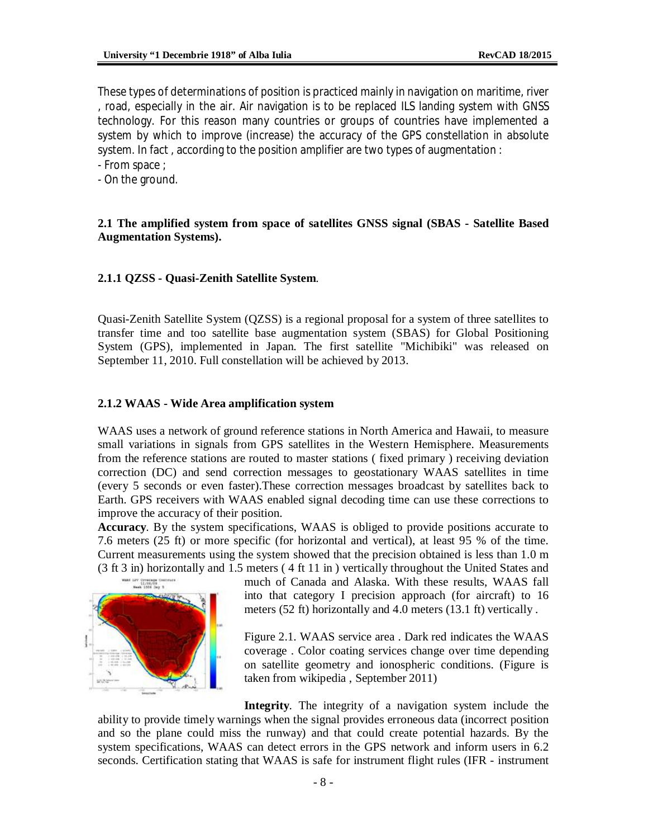These types of determinations of position is practiced mainly in navigation on maritime, river , road, especially in the air. Air navigation is to be replaced ILS landing system with GNSS technology. For this reason many countries or groups of countries have implemented a system by which to improve (increase) the accuracy of the GPS constellation in absolute system. In fact , according to the position amplifier are two types of augmentation :

- From space ;

- On the ground.

#### **2.1 The amplified system from space of satellites GNSS signal (SBAS - Satellite Based Augmentation Systems).**

#### **2.1.1 QZSS - Quasi-Zenith Satellite System**.

Quasi-Zenith Satellite System (QZSS) is a regional proposal for a system of three satellites to transfer time and too satellite base augmentation system (SBAS) for Global Positioning System (GPS), implemented in Japan. The first satellite "Michibiki" was released on September 11, 2010. Full constellation will be achieved by 2013.

#### **2.1.2 WAAS - Wide Area amplification system**

WAAS uses a network of ground reference stations in North America and Hawaii, to measure small variations in signals from GPS satellites in the Western Hemisphere. Measurements from the reference stations are routed to master stations ( fixed primary ) receiving deviation correction (DC) and send correction messages to geostationary WAAS satellites in time (every 5 seconds or even faster).These correction messages broadcast by satellites back to Earth. GPS receivers with WAAS enabled signal decoding time can use these corrections to improve the accuracy of their position.

**Accuracy**. By the system specifications, WAAS is obliged to provide positions accurate to 7.6 meters (25 ft) or more specific (for horizontal and vertical), at least 95 % of the time. Current measurements using the system showed that the precision obtained is less than 1.0 m (3 ft 3 in) horizontally and 1.5 meters ( 4 ft 11 in ) vertically throughout the United States and



much of Canada and Alaska. With these results, WAAS fall into that category I precision approach (for aircraft) to 16 meters (52 ft) horizontally and 4.0 meters (13.1 ft) vertically .

Figure 2.1. WAAS service area . Dark red indicates the WAAS coverage . Color coating services change over time depending on satellite geometry and ionospheric conditions. (Figure is taken from wikipedia , September 2011)

**Integrity**. The integrity of a navigation system include the ability to provide timely warnings when the signal provides erroneous data (incorrect position and so the plane could miss the runway) and that could create potential hazards. By the system specifications, WAAS can detect errors in the GPS network and inform users in 6.2 seconds. Certification stating that WAAS is safe for instrument flight rules (IFR - instrument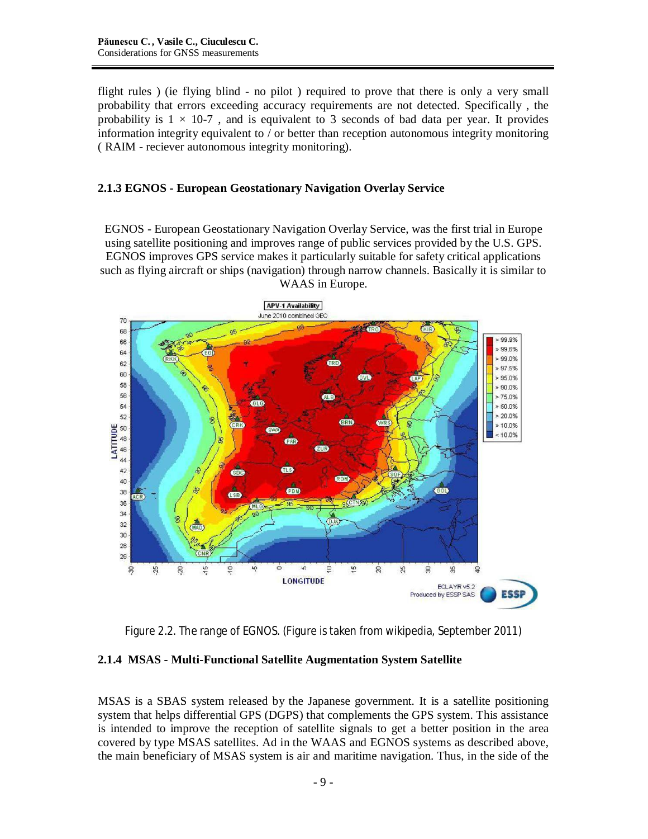flight rules ) (ie flying blind - no pilot ) required to prove that there is only a very small probability that errors exceeding accuracy requirements are not detected. Specifically , the probability is  $1 \times 10^{-7}$ , and is equivalent to 3 seconds of bad data per year. It provides information integrity equivalent to / or better than reception autonomous integrity monitoring ( RAIM - reciever autonomous integrity monitoring).

#### **2.1.3 EGNOS - European Geostationary Navigation Overlay Service**

EGNOS - European Geostationary Navigation Overlay Service, was the first trial in Europe using satellite positioning and improves range of public services provided by the U.S. GPS. EGNOS improves GPS service makes it particularly suitable for safety critical applications such as flying aircraft or ships (navigation) through narrow channels. Basically it is similar to WAAS in Europe.



Figure 2.2. The range of EGNOS. (Figure is taken from wikipedia, September 2011)

## **2.1.4 MSAS - Multi-Functional Satellite Augmentation System Satellite**

MSAS is a SBAS system released by the Japanese government. It is a satellite positioning system that helps differential GPS (DGPS) that complements the GPS system. This assistance is intended to improve the reception of satellite signals to get a better position in the area covered by type MSAS satellites. Ad in the WAAS and EGNOS systems as described above, the main beneficiary of MSAS system is air and maritime navigation. Thus, in the side of the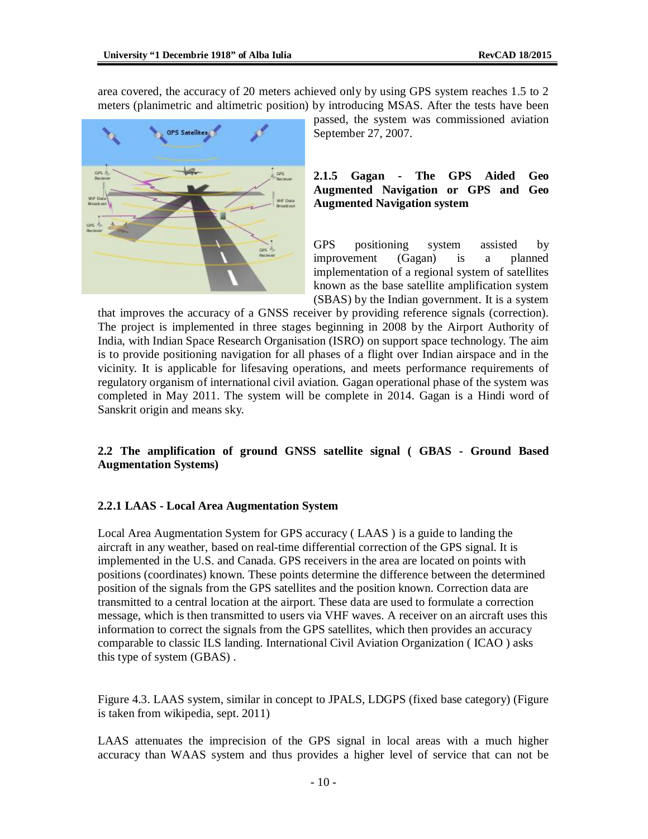area covered, the accuracy of 20 meters achieved only by using GPS system reaches 1.5 to 2 meters (planimetric and altimetric position) by introducing MSAS. After the tests have been



passed, the system was commissioned aviation September 27, 2007.

#### **2.1.5 Gagan - The GPS Aided Geo Augmented Navigation or GPS and Geo Augmented Navigation system**

GPS positioning system assisted by improvement (Gagan) is a planned implementation of a regional system of satellites known as the base satellite amplification system (SBAS) by the Indian government. It is a system

that improves the accuracy of a GNSS receiver by providing reference signals (correction). The project is implemented in three stages beginning in 2008 by the Airport Authority of India, with Indian Space Research Organisation (ISRO) on support space technology. The aim is to provide positioning navigation for all phases of a flight over Indian airspace and in the vicinity. It is applicable for lifesaving operations, and meets performance requirements of regulatory organism of international civil aviation. Gagan operational phase of the system was completed in May 2011. The system will be complete in 2014. Gagan is a Hindi word of Sanskrit origin and means sky.

### **2.2 The amplification of ground GNSS satellite signal ( GBAS - Ground Based Augmentation Systems)**

#### **2.2.1 LAAS - Local Area Augmentation System**

Local Area Augmentation System for GPS accuracy ( LAAS ) is a guide to landing the aircraft in any weather, based on real-time differential correction of the GPS signal. It is implemented in the U.S. and Canada. GPS receivers in the area are located on points with positions (coordinates) known. These points determine the difference between the determined position of the signals from the GPS satellites and the position known. Correction data are transmitted to a central location at the airport. These data are used to formulate a correction message, which is then transmitted to users via VHF waves. A receiver on an aircraft uses this information to correct the signals from the GPS satellites, which then provides an accuracy comparable to classic ILS landing. International Civil Aviation Organization ( ICAO ) asks this type of system (GBAS) .

Figure 4.3. LAAS system, similar in concept to JPALS, LDGPS (fixed base category) (Figure is taken from wikipedia, sept. 2011)

LAAS attenuates the imprecision of the GPS signal in local areas with a much higher accuracy than WAAS system and thus provides a higher level of service that can not be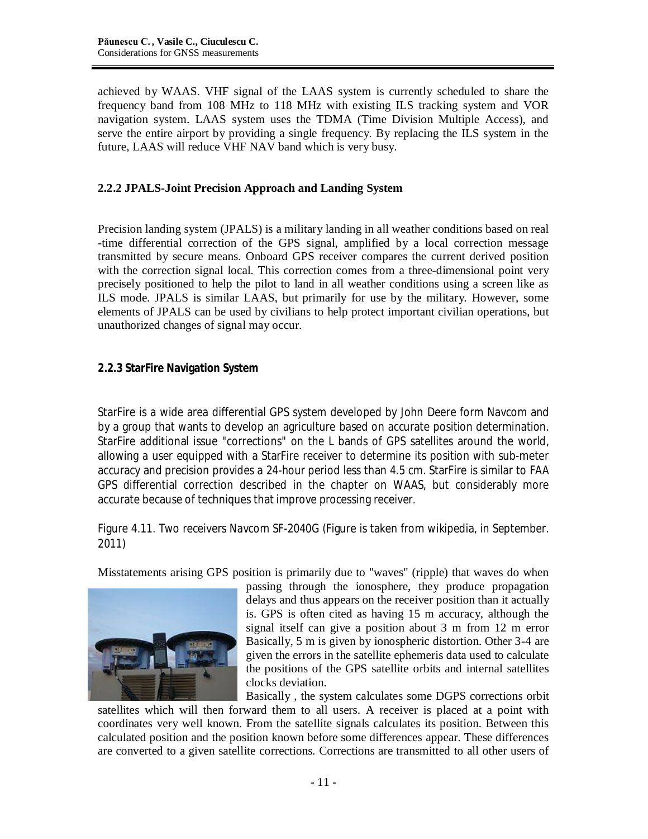achieved by WAAS. VHF signal of the LAAS system is currently scheduled to share the frequency band from 108 MHz to 118 MHz with existing ILS tracking system and VOR navigation system. LAAS system uses the TDMA (Time Division Multiple Access), and serve the entire airport by providing a single frequency. By replacing the ILS system in the future, LAAS will reduce VHF NAV band which is very busy.

## **2.2.2 JPALS-Joint Precision Approach and Landing System**

Precision landing system (JPALS) is a military landing in all weather conditions based on real -time differential correction of the GPS signal, amplified by a local correction message transmitted by secure means. Onboard GPS receiver compares the current derived position with the correction signal local. This correction comes from a three-dimensional point very precisely positioned to help the pilot to land in all weather conditions using a screen like as ILS mode. JPALS is similar LAAS, but primarily for use by the military. However, some elements of JPALS can be used by civilians to help protect important civilian operations, but unauthorized changes of signal may occur.

## **2.2.3 StarFire Navigation System**

StarFire is a wide area differential GPS system developed by John Deere form Navcom and by a group that wants to develop an agriculture based on accurate position determination. StarFire additional issue "corrections" on the L bands of GPS satellites around the world, allowing a user equipped with a StarFire receiver to determine its position with sub-meter accuracy and precision provides a 24-hour period less than 4.5 cm. StarFire is similar to FAA GPS differential correction described in the chapter on WAAS, but considerably more accurate because of techniques that improve processing receiver.

Figure 4.11. Two receivers Navcom SF-2040G (Figure is taken from wikipedia, in September. 2011)

Misstatements arising GPS position is primarily due to "waves" (ripple) that waves do when



passing through the ionosphere, they produce propagation delays and thus appears on the receiver position than it actually is. GPS is often cited as having 15 m accuracy, although the signal itself can give a position about 3 m from 12 m error Basically, 5 m is given by ionospheric distortion. Other 3-4 are given the errors in the satellite ephemeris data used to calculate the positions of the GPS satellite orbits and internal satellites clocks deviation.

Basically , the system calculates some DGPS corrections orbit satellites which will then forward them to all users. A receiver is placed at a point with coordinates very well known. From the satellite signals calculates its position. Between this calculated position and the position known before some differences appear. These differences are converted to a given satellite corrections. Corrections are transmitted to all other users of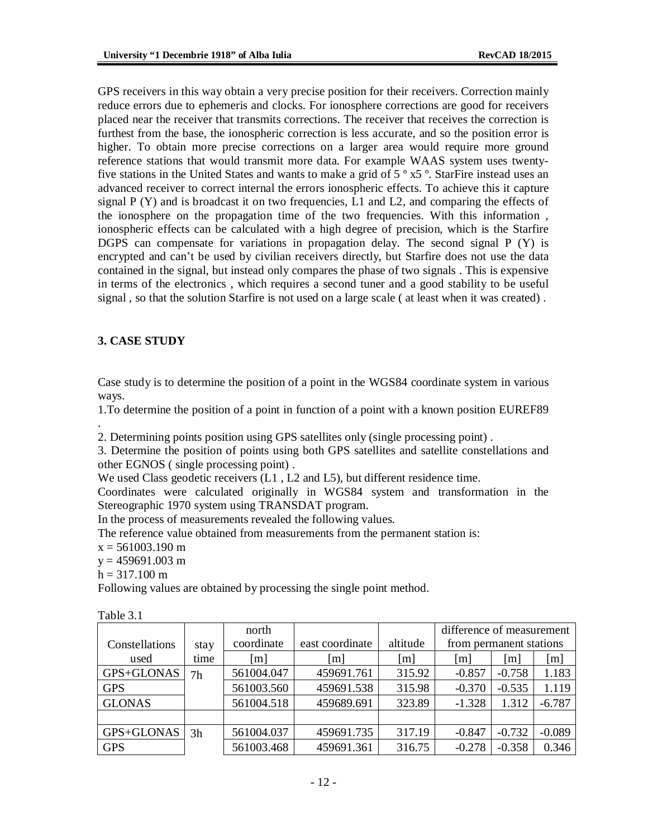GPS receivers in this way obtain a very precise position for their receivers. Correction mainly reduce errors due to ephemeris and clocks. For ionosphere corrections are good for receivers placed near the receiver that transmits corrections. The receiver that receives the correction is furthest from the base, the ionospheric correction is less accurate, and so the position error is higher. To obtain more precise corrections on a larger area would require more ground reference stations that would transmit more data. For example WAAS system uses twentyfive stations in the United States and wants to make a grid of 5 º x5 º. StarFire instead uses an advanced receiver to correct internal the errors ionospheric effects. To achieve this it capture signal  $P(Y)$  and is broadcast it on two frequencies, L1 and L2, and comparing the effects of the ionosphere on the propagation time of the two frequencies. With this information , ionospheric effects can be calculated with a high degree of precision, which is the Starfire DGPS can compensate for variations in propagation delay. The second signal P (Y) is encrypted and can't be used by civilian receivers directly, but Starfire does not use the data contained in the signal, but instead only compares the phase of two signals . This is expensive in terms of the electronics , which requires a second tuner and a good stability to be useful signal , so that the solution Starfire is not used on a large scale ( at least when it was created) .

## **3. CASE STUDY**

Case study is to determine the position of a point in the WGS84 coordinate system in various ways.

1.To determine the position of a point in function of a point with a known position EUREF89

. 2. Determining points position using GPS satellites only (single processing point) .

3. Determine the position of points using both GPS satellites and satellite constellations and other EGNOS ( single processing point) .

We used Class geodetic receivers  $(L1, L2 \text{ and } L5)$ , but different residence time.

Coordinates were calculated originally in WGS84 system and transformation in the Stereographic 1970 system using TRANSDAT program.

In the process of measurements revealed the following values.

The reference value obtained from measurements from the permanent station is:

 $x = 561003.190$  m

 $y = 459691.003$  m

 $h = 317.100 \text{ m}$ 

Following values are obtained by processing the single point method.

| Constellations | stay | north<br>coordinate | east coordinate | altitude          | difference of measurement<br>from permanent stations |                   |          |
|----------------|------|---------------------|-----------------|-------------------|------------------------------------------------------|-------------------|----------|
| used           | time | [m]                 | m               | $\lceil m \rceil$ | $\lceil m \rceil$                                    | $\lceil m \rceil$ | [m]      |
| GPS+GLONAS     | 7h   | 561004.047          | 459691.761      | 315.92            | $-0.857$                                             | $-0.758$          | 1.183    |
| <b>GPS</b>     |      | 561003.560          | 459691.538      | 315.98            | $-0.370$                                             | $-0.535$          | 1.119    |
| <b>GLONAS</b>  |      | 561004.518          | 459689.691      | 323.89            | $-1.328$                                             | 1.312             | $-6.787$ |
|                |      |                     |                 |                   |                                                      |                   |          |
| GPS+GLONAS     | 3h   | 561004.037          | 459691.735      | 317.19            | $-0.847$                                             | $-0.732$          | $-0.089$ |
| <b>GPS</b>     |      | 561003.468          | 459691.361      | 316.75            | $-0.278$                                             | $-0.358$          | 0.346    |